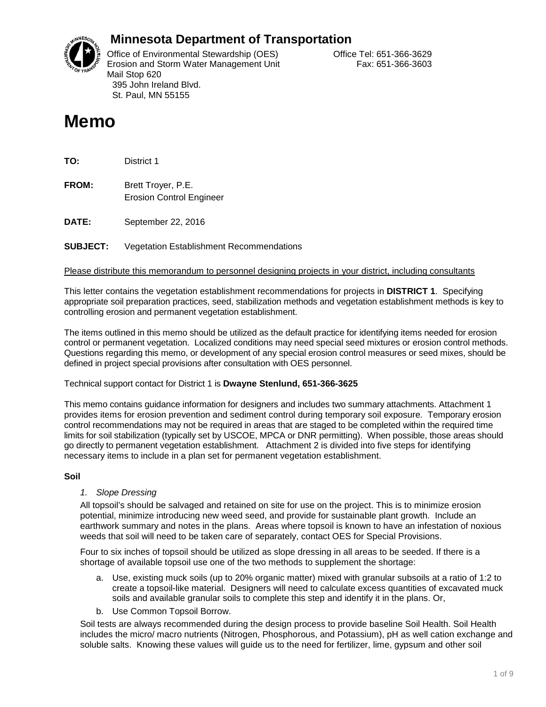

## **Minnesota Department of Transportation**

Office of Environmental Stewardship (OES) Correct Correct Correct Correct Correct Office Tel: 651-366-3629 Erosion and Storm Water Management Unit Fax: 651-366-3603 Mail Stop 620 395 John Ireland Blvd. St. Paul, MN 55155

# **Memo**

**TO:** District 1

**FROM:** Brett Troyer, P.E. Erosion Control Engineer

**DATE:** September 22, 2016

### **SUBJECT:** Vegetation Establishment Recommendations

#### Please distribute this memorandum to personnel designing projects in your district, including consultants

This letter contains the vegetation establishment recommendations for projects in **DISTRICT 1**. Specifying appropriate soil preparation practices, seed, stabilization methods and vegetation establishment methods is key to controlling erosion and permanent vegetation establishment.

The items outlined in this memo should be utilized as the default practice for identifying items needed for erosion control or permanent vegetation. Localized conditions may need special seed mixtures or erosion control methods. Questions regarding this memo, or development of any special erosion control measures or seed mixes, should be defined in project special provisions after consultation with OES personnel.

#### Technical support contact for District 1 is **Dwayne Stenlund, 651-366-3625**

This memo contains guidance information for designers and includes two summary attachments. Attachment 1 provides items for erosion prevention and sediment control during temporary soil exposure. Temporary erosion control recommendations may not be required in areas that are staged to be completed within the required time limits for soil stabilization (typically set by USCOE, MPCA or DNR permitting). When possible, those areas should go directly to permanent vegetation establishment. Attachment 2 is divided into five steps for identifying necessary items to include in a plan set for permanent vegetation establishment.

#### **Soil**

#### *1. Slope Dressing*

All topsoil's should be salvaged and retained on site for use on the project. This is to minimize erosion potential, minimize introducing new weed seed, and provide for sustainable plant growth. Include an earthwork summary and notes in the plans. Areas where topsoil is known to have an infestation of noxious weeds that soil will need to be taken care of separately, contact OES for Special Provisions.

Four to six inches of topsoil should be utilized as slope dressing in all areas to be seeded. If there is a shortage of available topsoil use one of the two methods to supplement the shortage:

- a. Use, existing muck soils (up to 20% organic matter) mixed with granular subsoils at a ratio of 1:2 to create a topsoil-like material. Designers will need to calculate excess quantities of excavated muck soils and available granular soils to complete this step and identify it in the plans. Or,
- b. Use Common Topsoil Borrow.

Soil tests are always recommended during the design process to provide baseline Soil Health. Soil Health includes the micro/ macro nutrients (Nitrogen, Phosphorous, and Potassium), pH as well cation exchange and soluble salts. Knowing these values will guide us to the need for fertilizer, lime, gypsum and other soil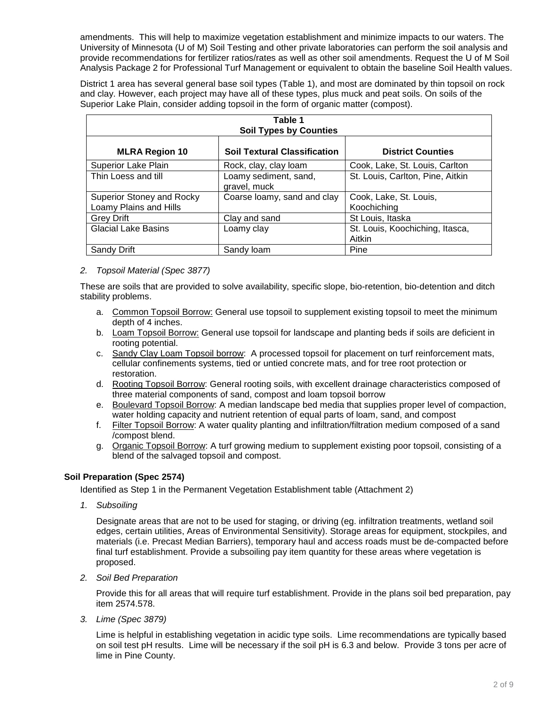amendments. This will help to maximize vegetation establishment and minimize impacts to our waters. The University of Minnesota (U of M) Soil Testing and other private laboratories can perform the soil analysis and provide recommendations for fertilizer ratios/rates as well as other soil amendments. Request the U of M Soil Analysis Package 2 for Professional Turf Management or equivalent to obtain the baseline Soil Health values.

District 1 area has several general base soil types (Table 1), and most are dominated by thin topsoil on rock and clay. However, each project may have all of these types, plus muck and peat soils. On soils of the Superior Lake Plain, consider adding topsoil in the form of organic matter (compost).

| Table 1<br><b>Soil Types by Counties</b>            |                                       |                                           |  |  |  |
|-----------------------------------------------------|---------------------------------------|-------------------------------------------|--|--|--|
| <b>MLRA Region 10</b>                               | <b>Soil Textural Classification</b>   | <b>District Counties</b>                  |  |  |  |
| <b>Superior Lake Plain</b>                          | Rock, clay, clay loam                 | Cook, Lake, St. Louis, Carlton            |  |  |  |
| Thin Loess and till                                 | Loamy sediment, sand,<br>gravel, muck | St. Louis, Carlton, Pine, Aitkin          |  |  |  |
| Superior Stoney and Rocky<br>Loamy Plains and Hills | Coarse loamy, sand and clay           | Cook, Lake, St. Louis,<br>Koochiching     |  |  |  |
| <b>Grey Drift</b>                                   | Clay and sand                         | St Louis, Itaska                          |  |  |  |
| <b>Glacial Lake Basins</b>                          | Loamy clay                            | St. Louis, Koochiching, Itasca,<br>Aitkin |  |  |  |
| Sandy Drift                                         | Sandy loam                            | Pine                                      |  |  |  |

#### *2. Topsoil Material (Spec 3877)*

These are soils that are provided to solve availability, specific slope, bio-retention, bio-detention and ditch stability problems.

- a. Common Topsoil Borrow: General use topsoil to supplement existing topsoil to meet the minimum depth of 4 inches.
- b. Loam Topsoil Borrow: General use topsoil for landscape and planting beds if soils are deficient in rooting potential.
- c. Sandy Clay Loam Topsoil borrow: A processed topsoil for placement on turf reinforcement mats, cellular confinements systems, tied or untied concrete mats, and for tree root protection or restoration.
- d. Rooting Topsoil Borrow: General rooting soils, with excellent drainage characteristics composed of three material components of sand, compost and loam topsoil borrow
- e. Boulevard Topsoil Borrow: A median landscape bed media that supplies proper level of compaction, water holding capacity and nutrient retention of equal parts of loam, sand, and compost
- f. Filter Topsoil Borrow: A water quality planting and infiltration/filtration medium composed of a sand /compost blend.
- g. Organic Topsoil Borrow: A turf growing medium to supplement existing poor topsoil, consisting of a blend of the salvaged topsoil and compost.

#### **Soil Preparation (Spec 2574)**

Identified as Step 1 in the Permanent Vegetation Establishment table (Attachment 2)

*1. Subsoiling*

Designate areas that are not to be used for staging, or driving (eg. infiltration treatments, wetland soil edges, certain utilities, Areas of Environmental Sensitivity). Storage areas for equipment, stockpiles, and materials (i.e. Precast Median Barriers), temporary haul and access roads must be de-compacted before final turf establishment. Provide a subsoiling pay item quantity for these areas where vegetation is proposed.

*2. Soil Bed Preparation*

Provide this for all areas that will require turf establishment. Provide in the plans soil bed preparation, pay item 2574.578.

*3. Lime (Spec 3879)* 

Lime is helpful in establishing vegetation in acidic type soils. Lime recommendations are typically based on soil test pH results. Lime will be necessary if the soil pH is 6.3 and below. Provide 3 tons per acre of lime in Pine County.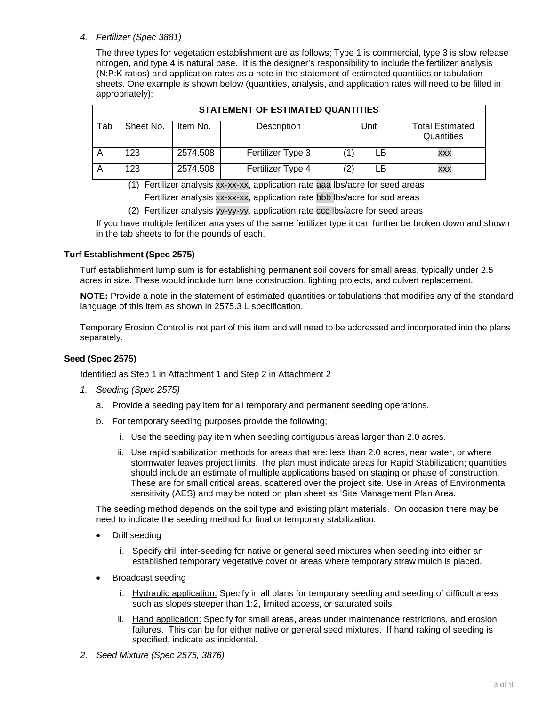#### *4. Fertilizer (Spec 3881)*

The three types for vegetation establishment are as follows; Type 1 is commercial, type 3 is slow release nitrogen, and type 4 is natural base. It is the designer's responsibility to include the fertilizer analysis (N:P:K ratios) and application rates as a note in the statement of estimated quantities or tabulation sheets. One example is shown below (quantities, analysis, and application rates will need to be filled in appropriately):

|     | STATEMENT OF ESTIMATED QUANTITIES |          |                   |     |      |                                      |  |  |
|-----|-----------------------------------|----------|-------------------|-----|------|--------------------------------------|--|--|
| Tab | Sheet No.                         | Item No. | Description       |     | Unit | <b>Total Estimated</b><br>Quantities |  |  |
| A   | 123                               | 2574.508 | Fertilizer Type 3 |     | LB   | XXX                                  |  |  |
| A   | 123                               | 2574.508 | Fertilizer Type 4 | (2) | LB   | XXX                                  |  |  |

(1) Fertilizer analysis xx-xx-xx, application rate aaa lbs/acre for seed areas

Fertilizer analysis xx-xx-xx, application rate bbb lbs/acre for sod areas

(2) Fertilizer analysis yy-yy-yy, application rate ccc lbs/acre for seed areas

If you have multiple fertilizer analyses of the same fertilizer type it can further be broken down and shown in the tab sheets to for the pounds of each.

#### **Turf Establishment (Spec 2575)**

Turf establishment lump sum is for establishing permanent soil covers for small areas, typically under 2.5 acres in size. These would include turn lane construction, lighting projects, and culvert replacement.

**NOTE:** Provide a note in the statement of estimated quantities or tabulations that modifies any of the standard language of this item as shown in 2575.3 L specification.

Temporary Erosion Control is not part of this item and will need to be addressed and incorporated into the plans separately.

#### **Seed (Spec 2575)**

Identified as Step 1 in Attachment 1 and Step 2 in Attachment 2

- *1. Seeding (Spec 2575)*
	- a. Provide a seeding pay item for all temporary and permanent seeding operations.
	- b. For temporary seeding purposes provide the following;
		- i. Use the seeding pay item when seeding contiguous areas larger than 2.0 acres.
		- ii. Use rapid stabilization methods for areas that are: less than 2.0 acres, near water, or where stormwater leaves project limits. The plan must indicate areas for Rapid Stabilization; quantities should include an estimate of multiple applications based on staging or phase of construction. These are for small critical areas, scattered over the project site. Use in Areas of Environmental sensitivity (AES) and may be noted on plan sheet as 'Site Management Plan Area.

The seeding method depends on the soil type and existing plant materials. On occasion there may be need to indicate the seeding method for final or temporary stabilization.

- Drill seeding
	- i. Specify drill inter-seeding for native or general seed mixtures when seeding into either an established temporary vegetative cover or areas where temporary straw mulch is placed.
- Broadcast seeding
	- i. Hydraulic application: Specify in all plans for temporary seeding and seeding of difficult areas such as slopes steeper than 1:2, limited access, or saturated soils.
	- ii. Hand application: Specify for small areas, areas under maintenance restrictions, and erosion failures. This can be for either native or general seed mixtures. If hand raking of seeding is specified, indicate as incidental.
- *2. Seed Mixture (Spec 2575, 3876)*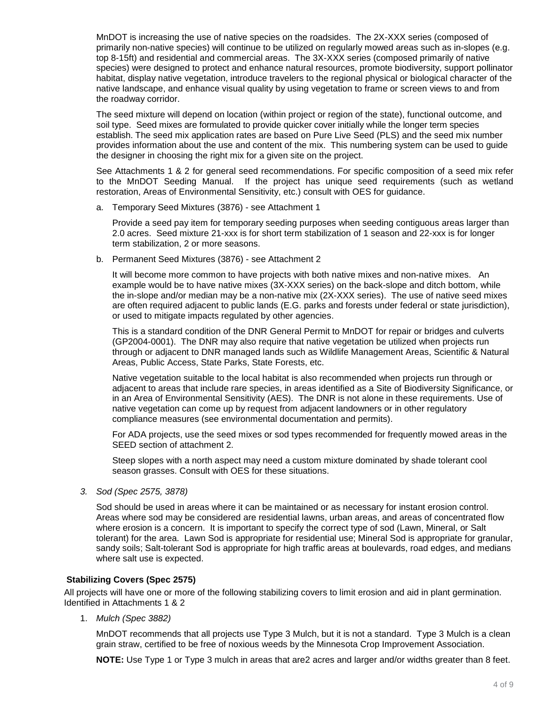MnDOT is increasing the use of native species on the roadsides. The 2X-XXX series (composed of primarily non-native species) will continue to be utilized on regularly mowed areas such as in-slopes (e.g. top 8-15ft) and residential and commercial areas. The 3X-XXX series (composed primarily of native species) were designed to protect and enhance natural resources, promote biodiversity, support pollinator habitat, display native vegetation, introduce travelers to the regional physical or biological character of the native landscape, and enhance visual quality by using vegetation to frame or screen views to and from the roadway corridor.

The seed mixture will depend on location (within project or region of the state), functional outcome, and soil type. Seed mixes are formulated to provide quicker cover initially while the longer term species establish. The seed mix application rates are based on Pure Live Seed (PLS) and the seed mix number provides information about the use and content of the mix. This numbering system can be used to guide the designer in choosing the right mix for a given site on the project.

See Attachments 1 & 2 for general seed recommendations. For specific composition of a seed mix refer to the MnDOT Seeding Manual. If the project has unique seed requirements (such as wetland restoration, Areas of Environmental Sensitivity, etc.) consult with OES for guidance.

a. Temporary Seed Mixtures (3876) - see Attachment 1

Provide a seed pay item for temporary seeding purposes when seeding contiguous areas larger than 2.0 acres. Seed mixture 21-xxx is for short term stabilization of 1 season and 22-xxx is for longer term stabilization, 2 or more seasons.

b. Permanent Seed Mixtures (3876) - see Attachment 2

It will become more common to have projects with both native mixes and non-native mixes. An example would be to have native mixes (3X-XXX series) on the back-slope and ditch bottom, while the in-slope and/or median may be a non-native mix (2X-XXX series). The use of native seed mixes are often required adjacent to public lands (E.G. parks and forests under federal or state jurisdiction), or used to mitigate impacts regulated by other agencies.

This is a standard condition of the DNR General Permit to MnDOT for repair or bridges and culverts (GP2004-0001). The DNR may also require that native vegetation be utilized when projects run through or adjacent to DNR managed lands such as Wildlife Management Areas, Scientific & Natural Areas, Public Access, State Parks, State Forests, etc.

Native vegetation suitable to the local habitat is also recommended when projects run through or adjacent to areas that include rare species, in areas identified as a Site of Biodiversity Significance, or in an Area of Environmental Sensitivity (AES). The DNR is not alone in these requirements. Use of native vegetation can come up by request from adjacent landowners or in other regulatory compliance measures (see environmental documentation and permits).

For ADA projects, use the seed mixes or sod types recommended for frequently mowed areas in the SEED section of attachment 2.

Steep slopes with a north aspect may need a custom mixture dominated by shade tolerant cool season grasses. Consult with OES for these situations.

*3. Sod (Spec 2575, 3878)*

Sod should be used in areas where it can be maintained or as necessary for instant erosion control. Areas where sod may be considered are residential lawns, urban areas, and areas of concentrated flow where erosion is a concern. It is important to specify the correct type of sod (Lawn, Mineral, or Salt tolerant) for the area. Lawn Sod is appropriate for residential use; Mineral Sod is appropriate for granular, sandy soils; Salt-tolerant Sod is appropriate for high traffic areas at boulevards, road edges, and medians where salt use is expected.

#### **Stabilizing Covers (Spec 2575)**

All projects will have one or more of the following stabilizing covers to limit erosion and aid in plant germination. Identified in Attachments 1 & 2

1. *Mulch (Spec 3882)* 

MnDOT recommends that all projects use Type 3 Mulch, but it is not a standard. Type 3 Mulch is a clean grain straw, certified to be free of noxious weeds by the Minnesota Crop Improvement Association.

**NOTE:** Use Type 1 or Type 3 mulch in areas that are2 acres and larger and/or widths greater than 8 feet.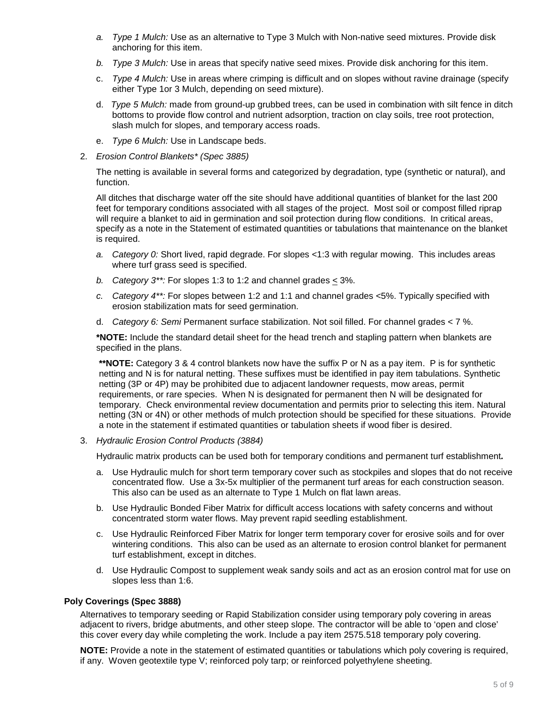- *a. Type 1 Mulch:* Use as an alternative to Type 3 Mulch with Non-native seed mixtures. Provide disk anchoring for this item.
- *b. Type 3 Mulch:* Use in areas that specify native seed mixes. Provide disk anchoring for this item.
- c. *Type 4 Mulch:* Use in areas where crimping is difficult and on slopes without ravine drainage (specify either Type 1or 3 Mulch, depending on seed mixture).
- d. *Type 5 Mulch:* made from ground-up grubbed trees, can be used in combination with silt fence in ditch bottoms to provide flow control and nutrient adsorption, traction on clay soils, tree root protection, slash mulch for slopes, and temporary access roads.
- e. *Type 6 Mulch:* Use in Landscape beds.
- 2. *Erosion Control Blankets\* (Spec 3885)*

The netting is available in several forms and categorized by degradation, type (synthetic or natural), and function.

All ditches that discharge water off the site should have additional quantities of blanket for the last 200 feet for temporary conditions associated with all stages of the project. Most soil or compost filled riprap will require a blanket to aid in germination and soil protection during flow conditions. In critical areas, specify as a note in the Statement of estimated quantities or tabulations that maintenance on the blanket is required.

- *a. Category 0:* Short lived, rapid degrade. For slopes <1:3 with regular mowing. This includes areas where turf grass seed is specified.
- *b. Category 3\*\*:* For slopes 1:3 to 1:2 and channel grades < 3%.
- *c. Category 4\*\*:* For slopes between 1:2 and 1:1 and channel grades <5%. Typically specified with erosion stabilization mats for seed germination.
- d. *Category 6: Semi* Permanent surface stabilization. Not soil filled. For channel grades < 7 %.

**\*NOTE:** Include the standard detail sheet for the head trench and stapling pattern when blankets are specified in the plans.

**\*\*NOTE:** Category 3 & 4 control blankets now have the suffix P or N as a pay item. P is for synthetic netting and N is for natural netting. These suffixes must be identified in pay item tabulations. Synthetic netting (3P or 4P) may be prohibited due to adjacent landowner requests, mow areas, permit requirements, or rare species. When N is designated for permanent then N will be designated for temporary. Check environmental review documentation and permits prior to selecting this item. Natural netting (3N or 4N) or other methods of mulch protection should be specified for these situations. Provide a note in the statement if estimated quantities or tabulation sheets if wood fiber is desired.

3. *Hydraulic Erosion Control Products (3884)*

Hydraulic matrix products can be used both for temporary conditions and permanent turf establishment*.* 

- a. Use Hydraulic mulch for short term temporary cover such as stockpiles and slopes that do not receive concentrated flow. Use a 3x-5x multiplier of the permanent turf areas for each construction season. This also can be used as an alternate to Type 1 Mulch on flat lawn areas.
- b. Use Hydraulic Bonded Fiber Matrix for difficult access locations with safety concerns and without concentrated storm water flows. May prevent rapid seedling establishment.
- c. Use Hydraulic Reinforced Fiber Matrix for longer term temporary cover for erosive soils and for over wintering conditions. This also can be used as an alternate to erosion control blanket for permanent turf establishment, except in ditches.
- d. Use Hydraulic Compost to supplement weak sandy soils and act as an erosion control mat for use on slopes less than 1:6.

#### **Poly Coverings (Spec 3888)**

Alternatives to temporary seeding or Rapid Stabilization consider using temporary poly covering in areas adjacent to rivers, bridge abutments, and other steep slope. The contractor will be able to 'open and close' this cover every day while completing the work. Include a pay item 2575.518 temporary poly covering.

**NOTE:** Provide a note in the statement of estimated quantities or tabulations which poly covering is required, if any. Woven geotextile type V; reinforced poly tarp; or reinforced polyethylene sheeting.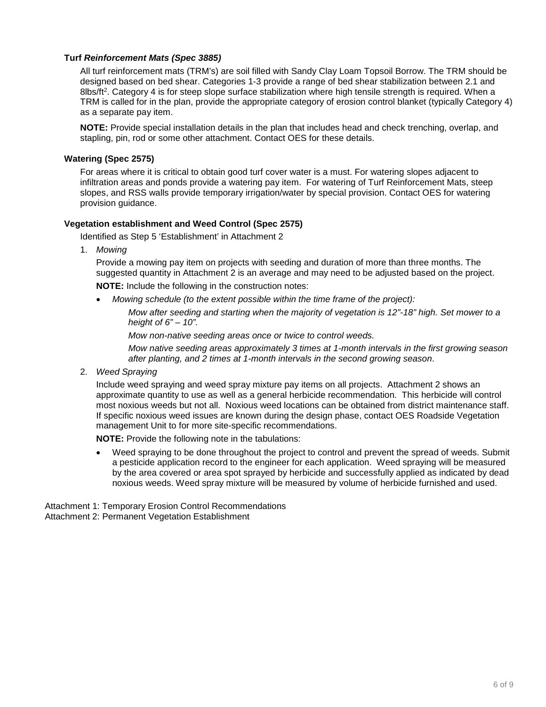#### **Turf** *Reinforcement Mats (Spec 3885)*

All turf reinforcement mats (TRM's) are soil filled with Sandy Clay Loam Topsoil Borrow. The TRM should be designed based on bed shear. Categories 1-3 provide a range of bed shear stabilization between 2.1 and 8lbs/ft<sup>2</sup>. Category 4 is for steep slope surface stabilization where high tensile strength is required. When a TRM is called for in the plan, provide the appropriate category of erosion control blanket (typically Category 4) as a separate pay item.

**NOTE:** Provide special installation details in the plan that includes head and check trenching, overlap, and stapling, pin, rod or some other attachment. Contact OES for these details.

#### **Watering (Spec 2575)**

For areas where it is critical to obtain good turf cover water is a must. For watering slopes adjacent to infiltration areas and ponds provide a watering pay item. For watering of Turf Reinforcement Mats, steep slopes, and RSS walls provide temporary irrigation/water by special provision. Contact OES for watering provision guidance.

#### **Vegetation establishment and Weed Control (Spec 2575)**

Identified as Step 5 'Establishment' in Attachment 2

1. *Mowing*

Provide a mowing pay item on projects with seeding and duration of more than three months. The suggested quantity in Attachment 2 is an average and may need to be adjusted based on the project.

**NOTE:** Include the following in the construction notes:

• *Mowing schedule (to the extent possible within the time frame of the project):*

*Mow after seeding and starting when the majority of vegetation is 12"-18" high. Set mower to a height of 6" – 10".*

*Mow non-native seeding areas once or twice to control weeds.* 

*Mow native seeding areas approximately 3 times at 1-month intervals in the first growing season after planting, and 2 times at 1-month intervals in the second growing season*.

2. *Weed Spraying* 

Include weed spraying and weed spray mixture pay items on all projects. Attachment 2 shows an approximate quantity to use as well as a general herbicide recommendation. This herbicide will control most noxious weeds but not all. Noxious weed locations can be obtained from district maintenance staff. If specific noxious weed issues are known during the design phase, contact OES Roadside Vegetation management Unit to for more site-specific recommendations.

**NOTE:** Provide the following note in the tabulations:

• Weed spraying to be done throughout the project to control and prevent the spread of weeds. Submit a pesticide application record to the engineer for each application. Weed spraying will be measured by the area covered or area spot sprayed by herbicide and successfully applied as indicated by dead noxious weeds. Weed spray mixture will be measured by volume of herbicide furnished and used.

Attachment 1: Temporary Erosion Control Recommendations Attachment 2: Permanent Vegetation Establishment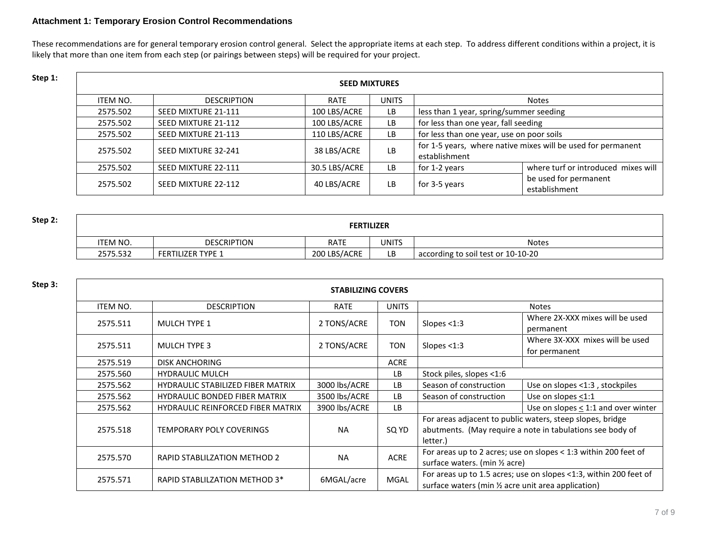#### **Attachment 1: Temporary Erosion Control Recommendations**

These recommendations are for general temporary erosion control general. Select the appropriate items at each step. To address different conditions within a project, it is likely that more than one item from each step (or pairings between steps) will be required for your project.

| Step 1: | <b>SEED MIXTURES</b> |                     |               |              |                                           |                                                              |
|---------|----------------------|---------------------|---------------|--------------|-------------------------------------------|--------------------------------------------------------------|
|         | ITEM NO.             | <b>DESCRIPTION</b>  | <b>RATE</b>   | <b>UNITS</b> |                                           | Notes                                                        |
|         | 2575.502             | SEED MIXTURE 21-111 | 100 LBS/ACRE  | LB           | less than 1 year, spring/summer seeding   |                                                              |
|         | 2575.502             | SEED MIXTURE 21-112 | 100 LBS/ACRE  | LB           | for less than one year, fall seeding      |                                                              |
|         | 2575.502             | SEED MIXTURE 21-113 | 110 LBS/ACRE  | LB           | for less than one year, use on poor soils |                                                              |
|         | 2575.502             | SEED MIXTURE 32-241 | 38 LBS/ACRE   | LB           | establishment                             | for 1-5 years, where native mixes will be used for permanent |
|         | 2575.502             | SEED MIXTURE 22-111 | 30.5 LBS/ACRE | LB           | for 1-2 years                             | where turf or introduced mixes will                          |
|         | 2575.502             | SEED MIXTURE 22-112 | 40 LBS/ACRE   | LB           | for 3-5 years                             | be used for permanent<br>establishment                       |

| Step 2: | <b>FERTILIZER</b> |                          |              |       |                                    |  |
|---------|-------------------|--------------------------|--------------|-------|------------------------------------|--|
|         | <b>'TEM NO.</b>   | <b>DESCRIPTION</b>       | <b>RATE</b>  | UNITS | <b>Notes</b>                       |  |
|         | 2575.532          | <b>FERTILIZER TYPE 1</b> | 200 LBS/ACRE | LB    | according to soil test or 10-10-20 |  |

| Step 3: | <b>STABILIZING COVERS</b> |                                          |               |              |                                                     |                                                                                                                        |
|---------|---------------------------|------------------------------------------|---------------|--------------|-----------------------------------------------------|------------------------------------------------------------------------------------------------------------------------|
|         | ITEM NO.                  | <b>DESCRIPTION</b>                       | <b>RATE</b>   | <b>UNITS</b> |                                                     | <b>Notes</b>                                                                                                           |
|         | 2575.511                  | <b>MULCH TYPE 1</b>                      | 2 TONS/ACRE   | TON          | Slopes $<$ 1:3                                      | Where 2X-XXX mixes will be used<br>permanent                                                                           |
|         | 2575.511                  | <b>MULCH TYPE 3</b>                      | 2 TONS/ACRE   | TON          | Slopes $<$ 1:3                                      | Where 3X-XXX mixes will be used<br>for permanent                                                                       |
|         | 2575.519                  | <b>DISK ANCHORING</b>                    |               | ACRE         |                                                     |                                                                                                                        |
|         | 2575.560                  | <b>HYDRAULIC MULCH</b>                   |               | <b>LB</b>    | Stock piles, slopes <1:6                            |                                                                                                                        |
|         | 2575.562                  | <b>HYDRAULIC STABILIZED FIBER MATRIX</b> | 3000 lbs/ACRE | LB           | Season of construction                              | Use on slopes <1:3, stockpiles                                                                                         |
|         | 2575.562                  | <b>HYDRAULIC BONDED FIBER MATRIX</b>     | 3500 lbs/ACRE | <b>LB</b>    | Season of construction                              | Use on slopes <1:1                                                                                                     |
|         | 2575.562                  | <b>HYDRAULIC REINFORCED FIBER MATRIX</b> | 3900 lbs/ACRE | LB           |                                                     | Use on slopes < 1:1 and over winter                                                                                    |
|         | 2575.518                  | <b>TEMPORARY POLY COVERINGS</b>          | <b>NA</b>     | SQ YD        | letter.)                                            | For areas adjacent to public waters, steep slopes, bridge<br>abutments. (May require a note in tabulations see body of |
|         | 2575.570                  | RAPID STABLILZATION METHOD 2             | <b>NA</b>     | <b>ACRE</b>  | surface waters. (min 1/2 acre)                      | For areas up to 2 acres; use on slopes $< 1:3$ within 200 feet of                                                      |
|         | 2575.571                  | RAPID STABLILZATION METHOD 3*            | 6MGAL/acre    | <b>MGAL</b>  | surface waters (min 1/2 acre unit area application) | For areas up to 1.5 acres; use on slopes <1:3, within 200 feet of                                                      |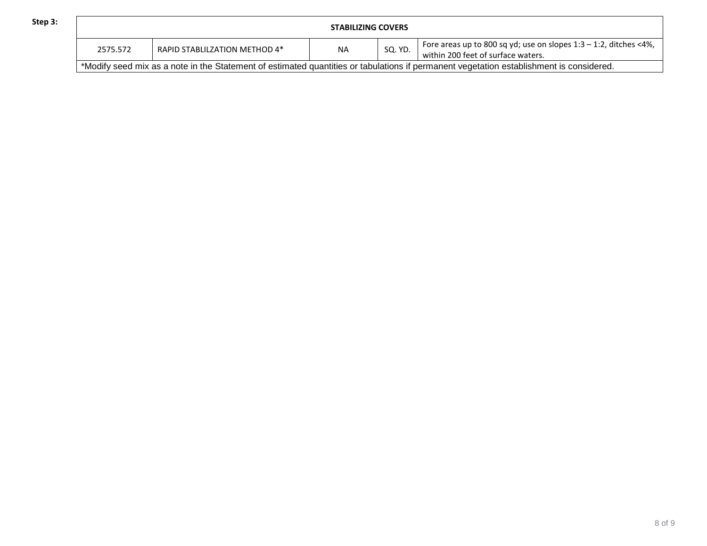|  | ł | ۰ |
|--|---|---|
|  |   |   |

| Step 3: | <b>STABILIZING COVERS</b> |                               |    |         |                                                                                                                                         |
|---------|---------------------------|-------------------------------|----|---------|-----------------------------------------------------------------------------------------------------------------------------------------|
|         | 2575.572                  | RAPID STABLILZATION METHOD 4* | ΝA | SQ. YD. | ' Fore areas up to 800 sq yd; use on slopes $1:3 - 1:2$ , ditches <4%,<br>within 200 feet of surface waters.                            |
|         |                           |                               |    |         | *Modify seed mix as a note in the Statement of estimated quantities or tabulations if permanent vegetation establishment is considered. |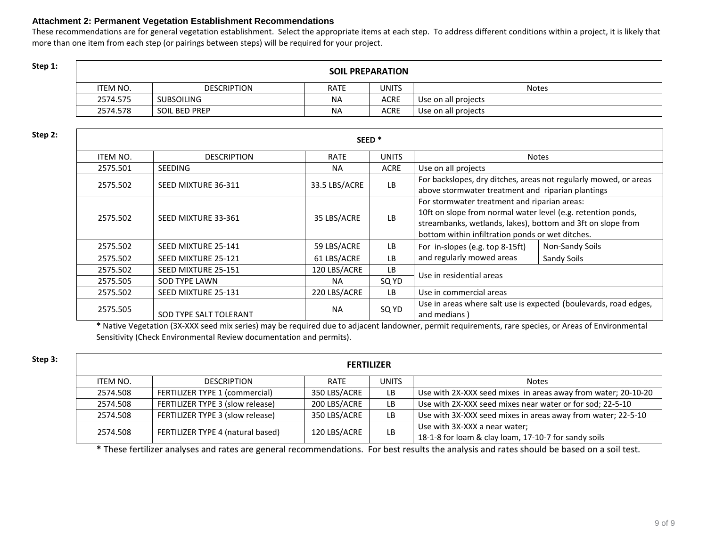#### **Attachment 2: Permanent Vegetation Establishment Recommendations**

These recommendations are for general vegetation establishment. Select the appropriate items at each step. To address different conditions within a project, it is likely that more than one item from each step (or pairings between steps) will be required for your project.

> 2574.575 SUBSOILING NA RESERVE ACRE USe on all projects 2574.578 SOIL BED PREP NA ACRE Use on all projects

| Step 1: |          | <b>SOIL PREPARATION</b> |             |              |       |  |  |  |
|---------|----------|-------------------------|-------------|--------------|-------|--|--|--|
|         | 'TEM NO. | <b>DESCRIPTION</b>      | <b>RATE</b> | <b>UNITS</b> | Notes |  |  |  |

| Step 2: |          |                        |               |              |                                                                                                                                                                                                                                 |                 |
|---------|----------|------------------------|---------------|--------------|---------------------------------------------------------------------------------------------------------------------------------------------------------------------------------------------------------------------------------|-----------------|
|         | ITEM NO. | <b>DESCRIPTION</b>     | <b>RATE</b>   | <b>UNITS</b> |                                                                                                                                                                                                                                 | Notes           |
|         | 2575.501 | <b>SEEDING</b>         | <b>NA</b>     | <b>ACRE</b>  | Use on all projects                                                                                                                                                                                                             |                 |
|         | 2575.502 | SEED MIXTURE 36-311    | 33.5 LBS/ACRE | <b>LB</b>    | For backslopes, dry ditches, areas not regularly mowed, or areas<br>above stormwater treatment and riparian plantings                                                                                                           |                 |
|         | 2575.502 | SEED MIXTURE 33-361    | 35 LBS/ACRE   | <b>LB</b>    | For stormwater treatment and riparian areas:<br>10ft on slope from normal water level (e.g. retention ponds,<br>streambanks, wetlands, lakes), bottom and 3ft on slope from<br>bottom within infiltration ponds or wet ditches. |                 |
|         | 2575.502 | SEED MIXTURE 25-141    | 59 LBS/ACRE   | LB.          | For in-slopes (e.g. top 8-15ft)                                                                                                                                                                                                 | Non-Sandy Soils |
|         | 2575.502 | SEED MIXTURE 25-121    | 61 LBS/ACRE   | LB.          | and regularly mowed areas                                                                                                                                                                                                       | Sandy Soils     |
|         | 2575.502 | SEED MIXTURE 25-151    | 120 LBS/ACRE  | LB.          |                                                                                                                                                                                                                                 |                 |
|         | 2575.505 | <b>SOD TYPE LAWN</b>   | <b>NA</b>     | SQ YD        | Use in residential areas                                                                                                                                                                                                        |                 |
|         | 2575.502 | SEED MIXTURE 25-131    | 220 LBS/ACRE  | LB.          | Use in commercial areas                                                                                                                                                                                                         |                 |
|         | 2575.505 | SOD TYPE SALT TOLERANT | <b>NA</b>     | SQ YD        | Use in areas where salt use is expected (boulevards, road edges,<br>and medians)                                                                                                                                                |                 |

**\*** Native Vegetation (3X-XXX seed mix series) may be required due to adjacent landowner, permit requirements, rare species, or Areas of Environmental Sensitivity (Check Environmental Review documentation and permits).

| ρn<br>U |  |  |
|---------|--|--|
|         |  |  |

| Step 3: | <b>FERTILIZER</b> |                                   |              |              |                                                                                       |  |
|---------|-------------------|-----------------------------------|--------------|--------------|---------------------------------------------------------------------------------------|--|
|         | ITEM NO.          | <b>DESCRIPTION</b>                | <b>RATE</b>  | <b>UNITS</b> | <b>Notes</b>                                                                          |  |
|         | 2574.508          | FERTILIZER TYPE 1 (commercial)    | 350 LBS/ACRE | LB.          | Use with 2X-XXX seed mixes in areas away from water; 20-10-20                         |  |
|         | 2574.508          | FERTILIZER TYPE 3 (slow release)  | 200 LBS/ACRE | LB.          | Use with 2X-XXX seed mixes near water or for sod; 22-5-10                             |  |
|         | 2574.508          | FERTILIZER TYPE 3 (slow release)  | 350 LBS/ACRE | LB           | Use with 3X-XXX seed mixes in areas away from water; 22-5-10                          |  |
|         | 2574.508          | FERTILIZER TYPE 4 (natural based) | 120 LBS/ACRE | LB           | Use with 3X-XXX a near water;<br>18-1-8 for loam & clay loam, 17-10-7 for sandy soils |  |

**\*** These fertilizer analyses and rates are general recommendations. For best results the analysis and rates should be based on a soil test.